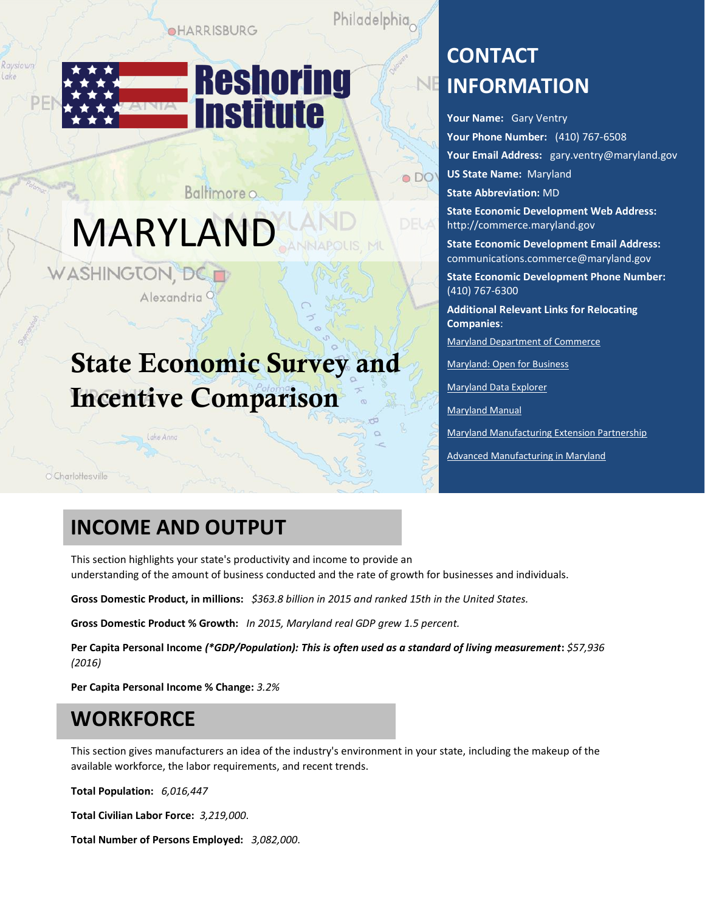**OHARRISBURG** 

Baltimore o

Philadelphia

 $\bullet$  DO



# MARYLAND

WASHINGTON, DC Alexandria<sup>Q</sup>

## State Economic Survey and Incentive Comparison

**CONTACT INFORMATION**

**Your Name:** Gary Ventry **Your Phone Number:** (410) 767-6508 **Your Email Address:** [gary.ventry@maryland.gov](mailto:gary.ventry@maryland.gov) **US State Name:** Maryland **State Abbreviation:** MD

**State Economic Development Web Address:**  [http://commerce.maryland.gov](http://commerce.maryland.gov/)

**State Economic Development Email Address:**  [communications.commerce@maryland.gov](mailto:communications.commerce@maryland.gov)

**State Economic Development Phone Number:**  (410) 767-6300

**Additional Relevant Links for Relocating Companies**:

[Maryland Department of Commerce](http://commerce.maryland.gov/) 

[Maryland: Open for Business](https://open.maryland.gov/) 

[Maryland Data Explorer](http://apps.esrgc.org/dashboards/countycomparison/#compare/states/set/overview) 

[Maryland Manual](http://msa.maryland.gov/msa/mdmanual/01glance/economy/html/income.html)

[Maryland Manufacturing Extension Partnership](http://www.mdmep.org/)

[Advanced Manufacturing in Maryland](https://open.maryland.gov/open4business/manufacturing/)

O Charlottesville

Ravstown

### **INCOME AND OUTPUT**

Lake Anna

This section highlights your state's productivity and income to provide an understanding of the amount of business conducted and the rate of growth for businesses and individuals.

**Gross Domestic Product, in millions:** *\$363.8 billion in 2015 and ranked 15th in the United States.*

**Gross Domestic Product % Growth:** *In 2015, Maryland real GDP grew 1.5 percent.*

**Per Capita Personal Income** *(\*GDP/Population): This is often used as a standard of living measurement***:** *\$57,936 (2016)*

**Per Capita Personal Income % Change:** *3.2%*

### **WORKFORCE**

This section gives manufacturers an idea of the industry's environment in your state, including the makeup of the available workforce, the labor requirements, and recent trends.

**Total Population:** *6,016,447*

**Total Civilian Labor Force:** *3,219,000*.

**Total Number of Persons Employed:** *3,082,000*.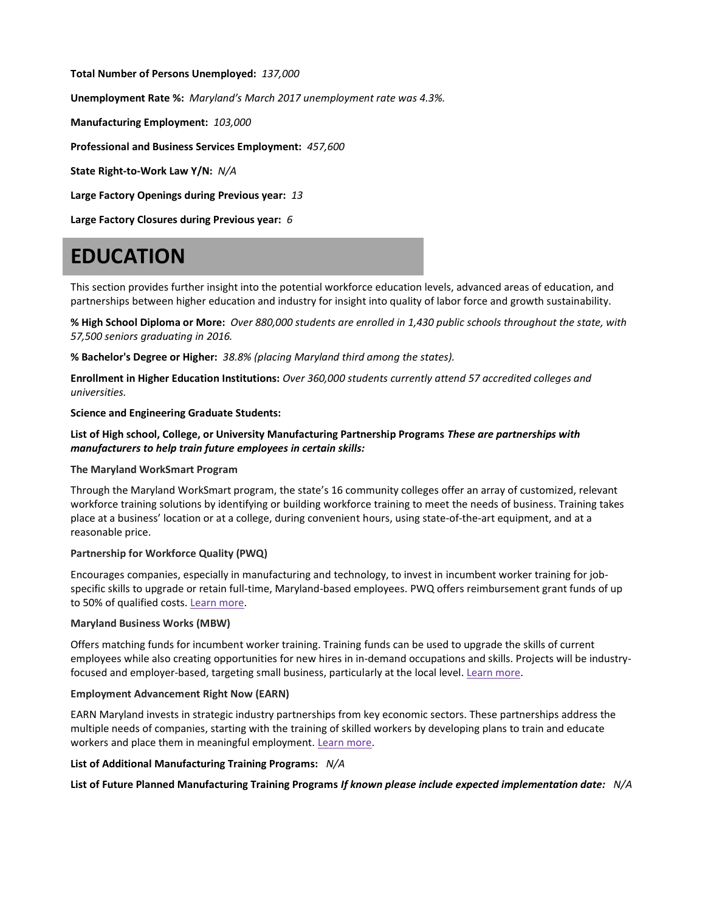**Total Number of Persons Unemployed:** *137,000*

**Unemployment Rate %:** *Maryland's March 2017 unemployment rate was 4.3%.*

**Manufacturing Employment:** *103,000*

**Professional and Business Services Employment:** *457,600*

**State Right-to-Work Law Y/N:** *N/A*

**Large Factory Openings during Previous year:** *13*

**Large Factory Closures during Previous year:** *6*

### **EDUCATION**

This section provides further insight into the potential workforce education levels, advanced areas of education, and partnerships between higher education and industry for insight into quality of labor force and growth sustainability.

**% High School Diploma or More:** *Over 880,000 students are enrolled in 1,430 public schools throughout the state, with 57,500 seniors graduating in 2016.*

**% Bachelor's Degree or Higher:** *38.8% (placing Maryland third among the states).*

**Enrollment in Higher Education Institutions:** *Over 360,000 students currently attend 57 accredited colleges and universities.*

**Science and Engineering Graduate Students:** 

### **List of High school, College, or University Manufacturing Partnership Programs** *These are partnerships with manufacturers to help train future employees in certain skills:*

#### **The Maryland WorkSmart Program**

Through the Maryland WorkSmart program, the state's 16 community colleges offer an array of customized, relevant workforce training solutions by identifying or building workforce training to meet the needs of business. Training takes place at a business' location or at a college, during convenient hours, using state-of-the-art equipment, and at a reasonable price.

### **Partnership for Workforce Quality (PWQ)**

Encourages companies, especially in manufacturing and technology, to invest in incumbent worker training for jobspecific skills to upgrade or retain full-time, Maryland-based employees. PWQ offers reimbursement grant funds of up to 50% of qualified costs. [Learn more.](http://commerce.maryland.gov/grow/partnership-for-workforce-quality-pwq)

### **Maryland Business Works (MBW)**

Offers matching funds for incumbent worker training. Training funds can be used to upgrade the skills of current employees while also creating opportunities for new hires in in-demand occupations and skills. Projects will be industryfocused and employer-based, targeting small business, particularly at the local level. [Learn more.](https://www.dllr.state.md.us/employment/mbw.shtml)

#### **Employment Advancement Right Now (EARN)**

EARN Maryland invests in strategic industry partnerships from key economic sectors. These partnerships address the multiple needs of companies, starting with the training of skilled workers by developing plans to train and educate workers and place them in meaningful employment. [Learn more.](http://www.dllr.state.md.us/earn)

### **List of Additional Manufacturing Training Programs:** *N/A*

**List of Future Planned Manufacturing Training Programs** *If known please include expected implementation date:**N/A*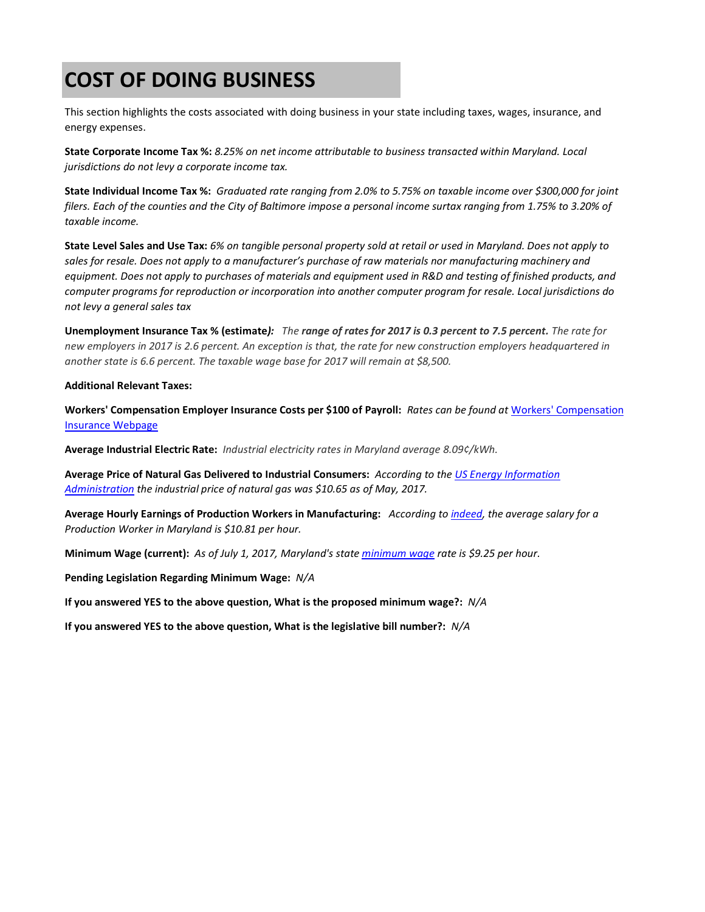### **COST OF DOING BUSINESS**

This section highlights the costs associated with doing business in your state including taxes, wages, insurance, and energy expenses.

**State Corporate Income Tax %:** *8.25% on net income attributable to business transacted within Maryland. Local jurisdictions do not levy a corporate income tax.*

**State Individual Income Tax %:** *Graduated rate ranging from 2.0% to 5.75% on taxable income over \$300,000 for joint filers. Each of the counties and the City of Baltimore impose a personal income surtax ranging from 1.75% to 3.20% of taxable income.*

**State Level Sales and Use Tax:** *6% on tangible personal property sold at retail or used in Maryland. Does not apply to*  sales for resale. Does not apply to a manufacturer's purchase of raw materials nor manufacturing machinery and *equipment. Does not apply to purchases of materials and equipment used in R&D and testing of finished products, and computer programs for reproduction or incorporation into another computer program for resale. Local jurisdictions do not levy a general sales tax*

**Unemployment Insurance Tax % (estimate***): The range of rates for 2017 is 0.3 percent to 7.5 percent. The rate for new employers in 2017 is 2.6 percent. An exception is that, the rate for new construction employers headquartered in another state is 6.6 percent. The taxable wage base for 2017 will remain at \$8,500.*

#### **Additional Relevant Taxes:**

**Workers' Compensation Employer Insurance Costs per \$100 of Payroll:** *Rates can be found at* [Workers' Compensation](https://www.workerscompensationshop.com/insurance-states/maryland/rates.html)  [Insurance Webpage](https://www.workerscompensationshop.com/insurance-states/maryland/rates.html)

**Average Industrial Electric Rate:** *Industrial electricity rates in Maryland average 8.09¢/kWh.*

**Average Price of Natural Gas Delivered to Industrial Consumers:** *According to the [US Energy Information](https://www.eia.gov/dnav/ng/ng_pri_sum_a_epg0_pin_dmcf_m.htm)  [Administration](https://www.eia.gov/dnav/ng/ng_pri_sum_a_epg0_pin_dmcf_m.htm) the industrial price of natural gas was \$10.65 as of May, 2017.*

**Average Hourly Earnings of Production Workers in Manufacturing:** *According t[o indeed,](https://www.indeed.com/salaries/Production-Worker-Salaries,-Maryland) the average salary for a Production Worker in Maryland is \$10.81 per hour.*

**Minimum Wage (current):** *As of July 1, 2017, Maryland's stat[e minimum wage](https://www.minimum-wage.org/maryland) rate is \$9.25 per hour.*

**Pending Legislation Regarding Minimum Wage:** *N/A*

**If you answered YES to the above question, What is the proposed minimum wage?:** *N/A*

**If you answered YES to the above question, What is the legislative bill number?:** *N/A*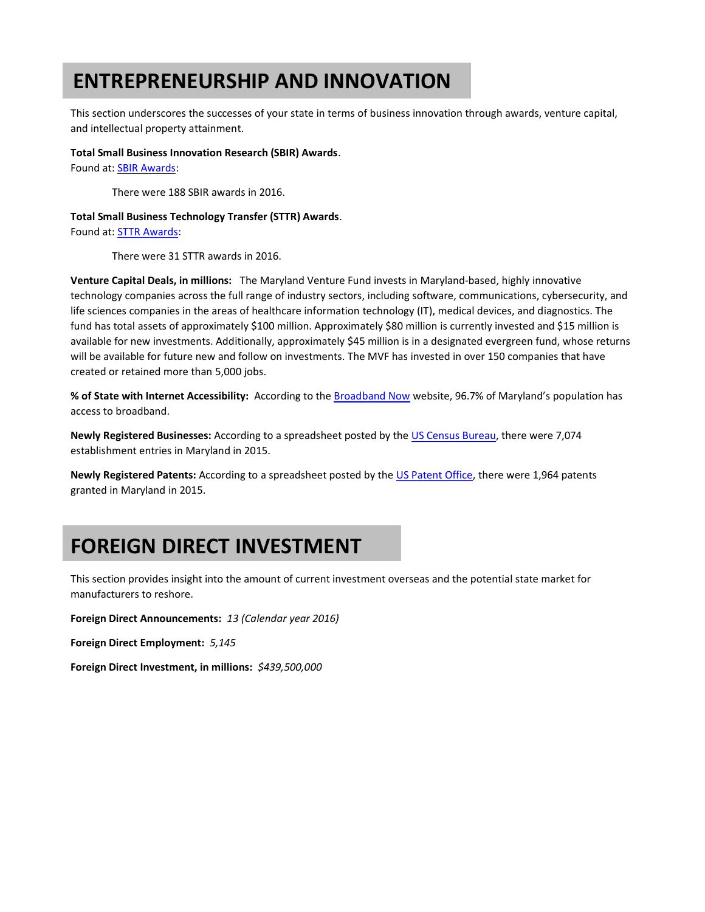### **ENTREPRENEURSHIP AND INNOVATION**

This section underscores the successes of your state in terms of business innovation through awards, venture capital, and intellectual property attainment.

#### **Total Small Business Innovation Research (SBIR) Awards**.

Found at: SBIR Awards:

There were 188 SBIR awards in 2016.

#### **Total Small Business Technology Transfer (STTR) Awards**.

Found at: STTR Awards:

There were 31 STTR awards in 2016.

**Venture Capital Deals, in millions:** The Maryland Venture Fund invests in Maryland-based, highly innovative technology companies across the full range of industry sectors, including software, communications, cybersecurity, and life sciences companies in the areas of healthcare information technology (IT), medical devices, and diagnostics. The fund has total assets of approximately \$100 million. Approximately \$80 million is currently invested and \$15 million is available for new investments. Additionally, approximately \$45 million is in a designated evergreen fund, whose returns will be available for future new and follow on investments. The MVF has invested in over 150 companies that have created or retained more than 5,000 jobs.

**% of State with Internet Accessibility:** According to the Broadband Now website, 96.7% of Maryland's population has access to broadband.

**Newly Registered Businesses:** According to a spreadsheet posted by the US Census Bureau, there were 7,074 establishment entries in Maryland in 2015.

**Newly Registered Patents:** According to a spreadsheet posted by the US Patent Office, there were 1,964 patents granted in Maryland in 2015.

### **FOREIGN DIRECT INVESTMENT**

This section provides insight into the amount of current investment overseas and the potential state market for manufacturers to reshore.

**Foreign Direct Announcements:** *13 (Calendar year 2016)*

**Foreign Direct Employment:** *5,145*

**Foreign Direct Investment, in millions:** *\$439,500,000*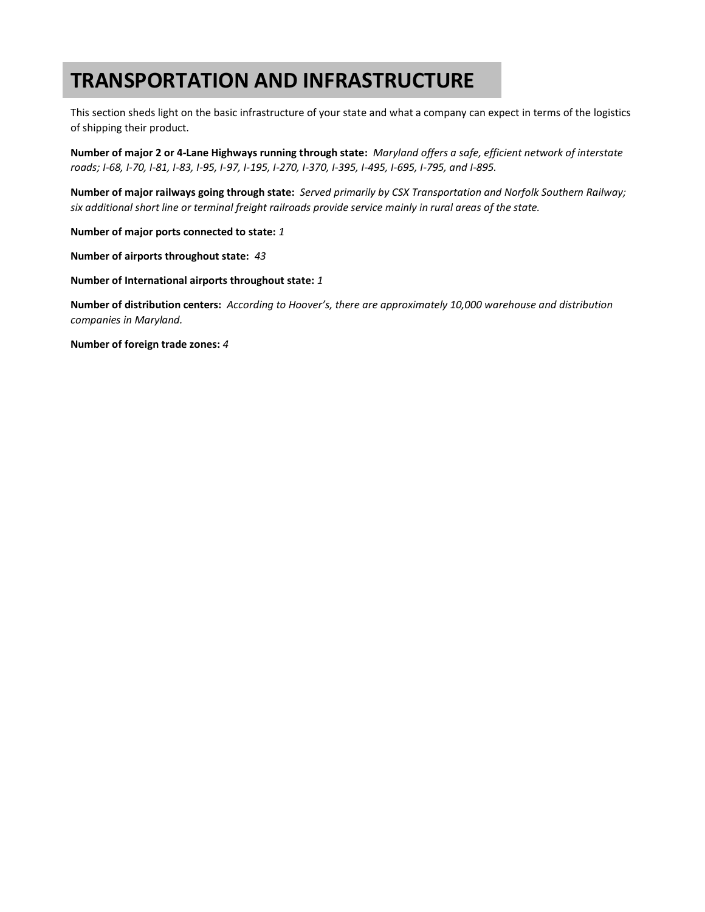### **TRANSPORTATION AND INFRASTRUCTURE**

This section sheds light on the basic infrastructure of your state and what a company can expect in terms of the logistics of shipping their product.

**Number of major 2 or 4-Lane Highways running through state:** *Maryland offers a safe, efficient network of interstate roads; I-68, I-70, I-81, I-83, I-95, I-97, I-195, I-270, I-370, I-395, I-495, I-695, I-795, and I-895.*

**Number of major railways going through state:** *Served primarily by CSX Transportation and Norfolk Southern Railway; six additional short line or terminal freight railroads provide service mainly in rural areas of the state.*

**Number of major ports connected to state:** *1*

**Number of airports throughout state:** *43*

**Number of International airports throughout state:** *1*

**Number of distribution centers:** *According to Hoover's, there are approximately 10,000 warehouse and distribution companies in Maryland.*

**Number of foreign trade zones:** *4*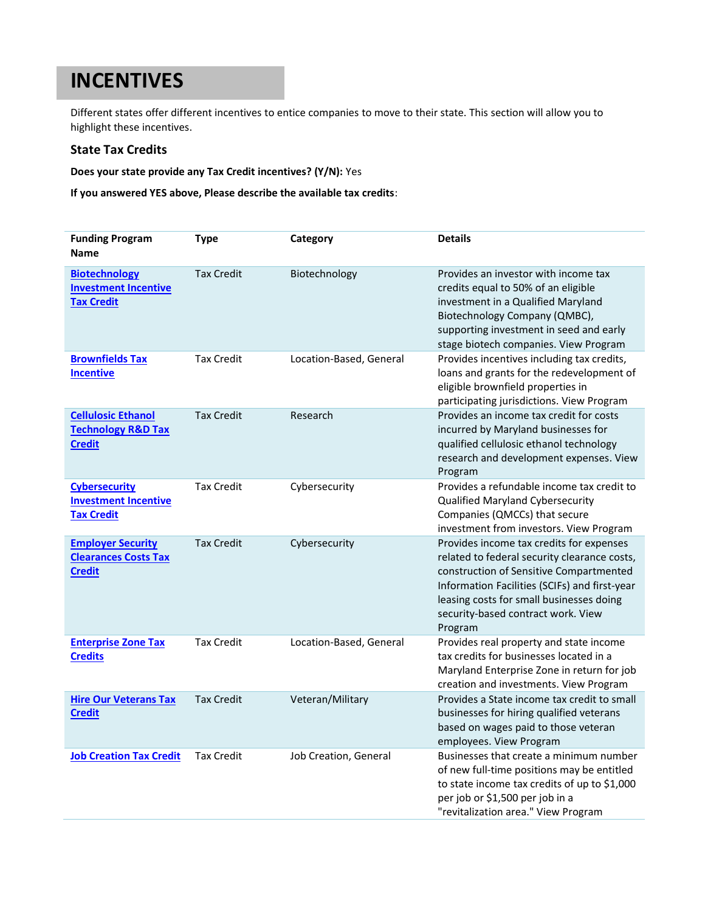### **INCENTIVES**

Different states offer different incentives to entice companies to move to their state. This section will allow you to highlight these incentives.

### **State Tax Credits**

**Does your state provide any Tax Credit incentives? (Y/N):** Yes

**If you answered YES above, Please describe the available tax credits**:

| <b>Funding Program</b><br><b>Name</b>                                       | <b>Type</b>       | Category                | <b>Details</b>                                                                                                                                                                                                                                                                    |
|-----------------------------------------------------------------------------|-------------------|-------------------------|-----------------------------------------------------------------------------------------------------------------------------------------------------------------------------------------------------------------------------------------------------------------------------------|
| <b>Biotechnology</b><br><b>Investment Incentive</b><br><b>Tax Credit</b>    | <b>Tax Credit</b> | Biotechnology           | Provides an investor with income tax<br>credits equal to 50% of an eligible<br>investment in a Qualified Maryland<br>Biotechnology Company (QMBC),<br>supporting investment in seed and early<br>stage biotech companies. View Program                                            |
| <b>Brownfields Tax</b><br><b>Incentive</b>                                  | <b>Tax Credit</b> | Location-Based, General | Provides incentives including tax credits,<br>loans and grants for the redevelopment of<br>eligible brownfield properties in<br>participating jurisdictions. View Program                                                                                                         |
| <b>Cellulosic Ethanol</b><br><b>Technology R&amp;D Tax</b><br><b>Credit</b> | <b>Tax Credit</b> | Research                | Provides an income tax credit for costs<br>incurred by Maryland businesses for<br>qualified cellulosic ethanol technology<br>research and development expenses. View<br>Program                                                                                                   |
| <b>Cybersecurity</b><br><b>Investment Incentive</b><br><b>Tax Credit</b>    | <b>Tax Credit</b> | Cybersecurity           | Provides a refundable income tax credit to<br>Qualified Maryland Cybersecurity<br>Companies (QMCCs) that secure<br>investment from investors. View Program                                                                                                                        |
| <b>Employer Security</b><br><b>Clearances Costs Tax</b><br><b>Credit</b>    | <b>Tax Credit</b> | Cybersecurity           | Provides income tax credits for expenses<br>related to federal security clearance costs,<br>construction of Sensitive Compartmented<br>Information Facilities (SCIFs) and first-year<br>leasing costs for small businesses doing<br>security-based contract work. View<br>Program |
| <b>Enterprise Zone Tax</b><br><b>Credits</b>                                | <b>Tax Credit</b> | Location-Based, General | Provides real property and state income<br>tax credits for businesses located in a<br>Maryland Enterprise Zone in return for job<br>creation and investments. View Program                                                                                                        |
| <b>Hire Our Veterans Tax</b><br><b>Credit</b>                               | <b>Tax Credit</b> | Veteran/Military        | Provides a State income tax credit to small<br>businesses for hiring qualified veterans<br>based on wages paid to those veteran<br>employees. View Program                                                                                                                        |
| <b>Job Creation Tax Credit</b>                                              | <b>Tax Credit</b> | Job Creation, General   | Businesses that create a minimum number<br>of new full-time positions may be entitled<br>to state income tax credits of up to \$1,000<br>per job or \$1,500 per job in a<br>"revitalization area." View Program                                                                   |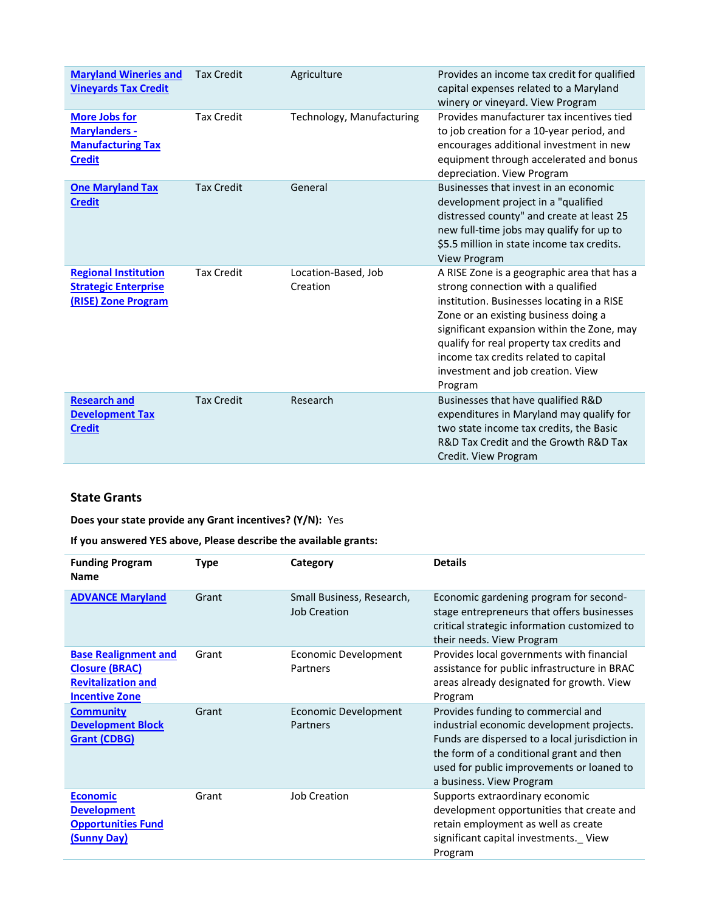| <b>Maryland Wineries and</b><br><b>Vineyards Tax Credit</b>                               | <b>Tax Credit</b> | Agriculture                     | Provides an income tax credit for qualified<br>capital expenses related to a Maryland<br>winery or vineyard. View Program                                                                                                                                                                                                                                   |
|-------------------------------------------------------------------------------------------|-------------------|---------------------------------|-------------------------------------------------------------------------------------------------------------------------------------------------------------------------------------------------------------------------------------------------------------------------------------------------------------------------------------------------------------|
| <b>More Jobs for</b><br><b>Marylanders -</b><br><b>Manufacturing Tax</b><br><b>Credit</b> | <b>Tax Credit</b> | Technology, Manufacturing       | Provides manufacturer tax incentives tied<br>to job creation for a 10-year period, and<br>encourages additional investment in new<br>equipment through accelerated and bonus<br>depreciation. View Program                                                                                                                                                  |
| <b>One Maryland Tax</b><br><b>Credit</b>                                                  | <b>Tax Credit</b> | General                         | Businesses that invest in an economic<br>development project in a "qualified<br>distressed county" and create at least 25<br>new full-time jobs may qualify for up to<br>\$5.5 million in state income tax credits.<br><b>View Program</b>                                                                                                                  |
| <b>Regional Institution</b><br><b>Strategic Enterprise</b><br>(RISE) Zone Program         | <b>Tax Credit</b> | Location-Based, Job<br>Creation | A RISE Zone is a geographic area that has a<br>strong connection with a qualified<br>institution. Businesses locating in a RISE<br>Zone or an existing business doing a<br>significant expansion within the Zone, may<br>qualify for real property tax credits and<br>income tax credits related to capital<br>investment and job creation. View<br>Program |
| <b>Research and</b><br><b>Development Tax</b><br><b>Credit</b>                            | <b>Tax Credit</b> | Research                        | Businesses that have qualified R&D<br>expenditures in Maryland may qualify for<br>two state income tax credits, the Basic<br>R&D Tax Credit and the Growth R&D Tax<br>Credit. View Program                                                                                                                                                                  |
|                                                                                           |                   |                                 |                                                                                                                                                                                                                                                                                                                                                             |

### **State Grants**

**Does your state provide any Grant incentives? (Y/N):** Yes

**If you answered YES above, Please describe the available grants:** 

| <b>Funding Program</b><br><b>Name</b>                                                                      | <b>Type</b> | Category                                  | <b>Details</b>                                                                                                                                                                                                                                         |
|------------------------------------------------------------------------------------------------------------|-------------|-------------------------------------------|--------------------------------------------------------------------------------------------------------------------------------------------------------------------------------------------------------------------------------------------------------|
| <b>ADVANCE Maryland</b>                                                                                    | Grant       | Small Business, Research,<br>Job Creation | Economic gardening program for second-<br>stage entrepreneurs that offers businesses<br>critical strategic information customized to<br>their needs. View Program                                                                                      |
| <b>Base Realignment and</b><br><b>Closure (BRAC)</b><br><b>Revitalization and</b><br><b>Incentive Zone</b> | Grant       | Economic Development<br>Partners          | Provides local governments with financial<br>assistance for public infrastructure in BRAC<br>areas already designated for growth. View<br>Program                                                                                                      |
| <b>Community</b><br><b>Development Block</b><br><b>Grant (CDBG)</b>                                        | Grant       | Economic Development<br>Partners          | Provides funding to commercial and<br>industrial economic development projects.<br>Funds are dispersed to a local jurisdiction in<br>the form of a conditional grant and then<br>used for public improvements or loaned to<br>a business. View Program |
| <b>Economic</b><br><b>Development</b><br><b>Opportunities Fund</b><br><b>(Sunny Day)</b>                   | Grant       | <b>Job Creation</b>                       | Supports extraordinary economic<br>development opportunities that create and<br>retain employment as well as create<br>significant capital investments. View<br>Program                                                                                |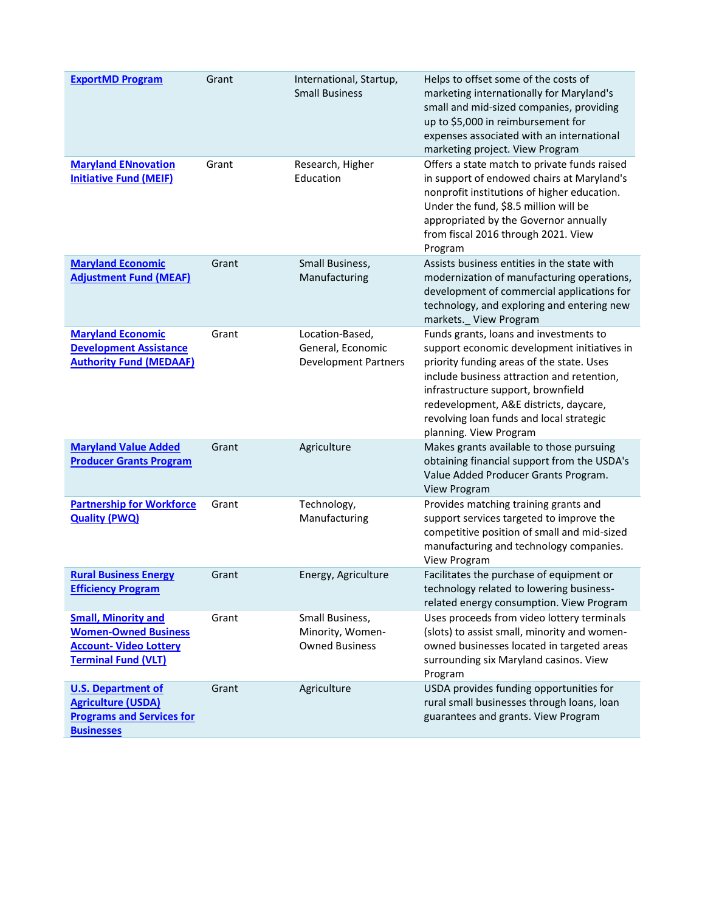| <b>ExportMD Program</b>                                                                                                  | Grant | International, Startup,<br><b>Small Business</b>                    | Helps to offset some of the costs of<br>marketing internationally for Maryland's<br>small and mid-sized companies, providing<br>up to \$5,000 in reimbursement for<br>expenses associated with an international<br>marketing project. View Program                                                                                     |
|--------------------------------------------------------------------------------------------------------------------------|-------|---------------------------------------------------------------------|----------------------------------------------------------------------------------------------------------------------------------------------------------------------------------------------------------------------------------------------------------------------------------------------------------------------------------------|
| <b>Maryland ENnovation</b><br><b>Initiative Fund (MEIF)</b>                                                              | Grant | Research, Higher<br>Education                                       | Offers a state match to private funds raised<br>in support of endowed chairs at Maryland's<br>nonprofit institutions of higher education.<br>Under the fund, \$8.5 million will be<br>appropriated by the Governor annually<br>from fiscal 2016 through 2021. View<br>Program                                                          |
| <b>Maryland Economic</b><br><b>Adjustment Fund (MEAF)</b>                                                                | Grant | Small Business,<br>Manufacturing                                    | Assists business entities in the state with<br>modernization of manufacturing operations,<br>development of commercial applications for<br>technology, and exploring and entering new<br>markets._ View Program                                                                                                                        |
| <b>Maryland Economic</b><br><b>Development Assistance</b><br><b>Authority Fund (MEDAAF)</b>                              | Grant | Location-Based,<br>General, Economic<br><b>Development Partners</b> | Funds grants, loans and investments to<br>support economic development initiatives in<br>priority funding areas of the state. Uses<br>include business attraction and retention,<br>infrastructure support, brownfield<br>redevelopment, A&E districts, daycare,<br>revolving loan funds and local strategic<br>planning. View Program |
| <b>Maryland Value Added</b><br><b>Producer Grants Program</b>                                                            | Grant | Agriculture                                                         | Makes grants available to those pursuing<br>obtaining financial support from the USDA's<br>Value Added Producer Grants Program.<br>View Program                                                                                                                                                                                        |
| <b>Partnership for Workforce</b><br><b>Quality (PWQ)</b>                                                                 | Grant | Technology,<br>Manufacturing                                        | Provides matching training grants and<br>support services targeted to improve the<br>competitive position of small and mid-sized<br>manufacturing and technology companies.<br>View Program                                                                                                                                            |
| <b>Rural Business Energy</b><br><b>Efficiency Program</b>                                                                | Grant | Energy, Agriculture                                                 | Facilitates the purchase of equipment or<br>technology related to lowering business-<br>related energy consumption. View Program                                                                                                                                                                                                       |
| <b>Small, Minority and</b><br><b>Women-Owned Business</b><br><b>Account- Video Lottery</b><br><b>Terminal Fund (VLT)</b> | Grant | Small Business,<br>Minority, Women-<br><b>Owned Business</b>        | Uses proceeds from video lottery terminals<br>(slots) to assist small, minority and women-<br>owned businesses located in targeted areas<br>surrounding six Maryland casinos. View<br>Program                                                                                                                                          |
| <b>U.S. Department of</b><br><b>Agriculture (USDA)</b><br><b>Programs and Services for</b><br><b>Businesses</b>          | Grant | Agriculture                                                         | USDA provides funding opportunities for<br>rural small businesses through loans, loan<br>guarantees and grants. View Program                                                                                                                                                                                                           |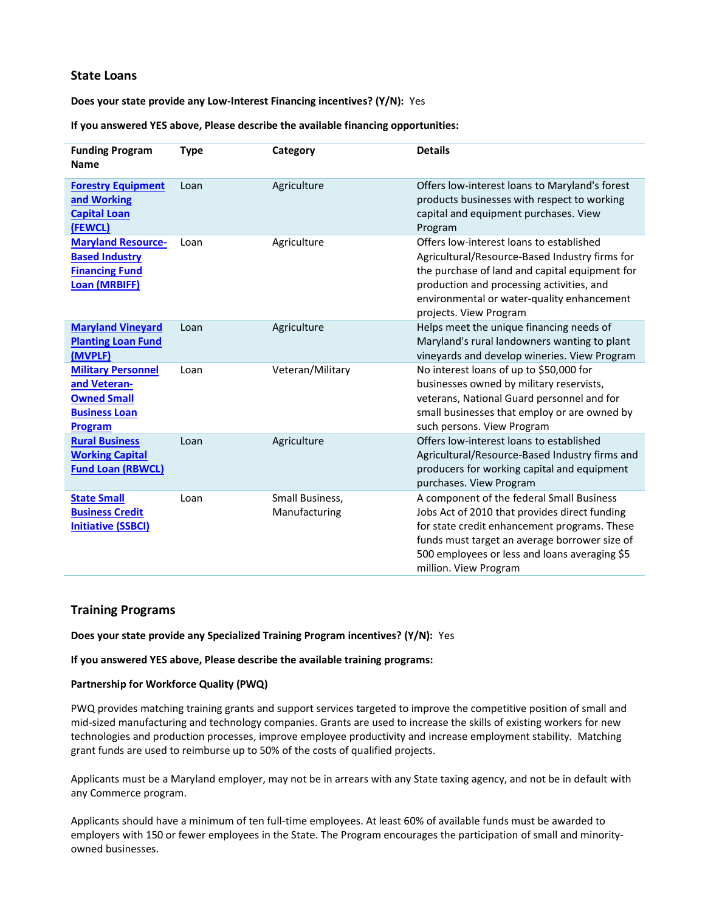### **State Loans**

#### **Does your state provide any Low-Interest Financing incentives? (Y/N):** Yes

#### **If you answered YES above, Please describe the available financing opportunities:**

| <b>Funding Program</b><br><b>Name</b>                                                                     | <b>Type</b> | Category                         | <b>Details</b>                                                                                                                                                                                                                                                        |
|-----------------------------------------------------------------------------------------------------------|-------------|----------------------------------|-----------------------------------------------------------------------------------------------------------------------------------------------------------------------------------------------------------------------------------------------------------------------|
| <b>Forestry Equipment</b><br>and Working<br><b>Capital Loan</b><br>(FEWCL)                                | Loan        | Agriculture                      | Offers low-interest loans to Maryland's forest<br>products businesses with respect to working<br>capital and equipment purchases. View<br>Program                                                                                                                     |
| <b>Maryland Resource-</b><br><b>Based Industry</b><br><b>Financing Fund</b><br><b>Loan (MRBIFF)</b>       | Loan        | Agriculture                      | Offers low-interest loans to established<br>Agricultural/Resource-Based Industry firms for<br>the purchase of land and capital equipment for<br>production and processing activities, and<br>environmental or water-quality enhancement<br>projects. View Program     |
| <b>Maryland Vineyard</b><br><b>Planting Loan Fund</b><br>(MVPLF)                                          | Loan        | Agriculture                      | Helps meet the unique financing needs of<br>Maryland's rural landowners wanting to plant<br>vineyards and develop wineries. View Program                                                                                                                              |
| <b>Military Personnel</b><br>and Veteran-<br><b>Owned Small</b><br><b>Business Loan</b><br><b>Program</b> | Loan        | Veteran/Military                 | No interest loans of up to \$50,000 for<br>businesses owned by military reservists,<br>veterans, National Guard personnel and for<br>small businesses that employ or are owned by<br>such persons. View Program                                                       |
| <b>Rural Business</b><br><b>Working Capital</b><br><b>Fund Loan (RBWCL)</b>                               | Loan        | Agriculture                      | Offers low-interest loans to established<br>Agricultural/Resource-Based Industry firms and<br>producers for working capital and equipment<br>purchases. View Program                                                                                                  |
| <b>State Small</b><br><b>Business Credit</b><br><b>Initiative (SSBCI)</b>                                 | Loan        | Small Business,<br>Manufacturing | A component of the federal Small Business<br>Jobs Act of 2010 that provides direct funding<br>for state credit enhancement programs. These<br>funds must target an average borrower size of<br>500 employees or less and loans averaging \$5<br>million. View Program |

### **Training Programs**

**Does your state provide any Specialized Training Program incentives? (Y/N):** Yes

**If you answered YES above, Please describe the available training programs:** 

#### **Partnership for Workforce Quality (PWQ)**

PWQ provides matching training grants and support services targeted to improve the competitive position of small and mid-sized manufacturing and technology companies. Grants are used to increase the skills of existing workers for new technologies and production processes, improve employee productivity and increase employment stability. Matching grant funds are used to reimburse up to 50% of the costs of qualified projects.

Applicants must be a Maryland employer, may not be in arrears with any State taxing agency, and not be in default with any Commerce program.

Applicants should have a minimum of ten full-time employees. At least 60% of available funds must be awarded to employers with 150 or fewer employees in the State. The Program encourages the participation of small and minorityowned businesses.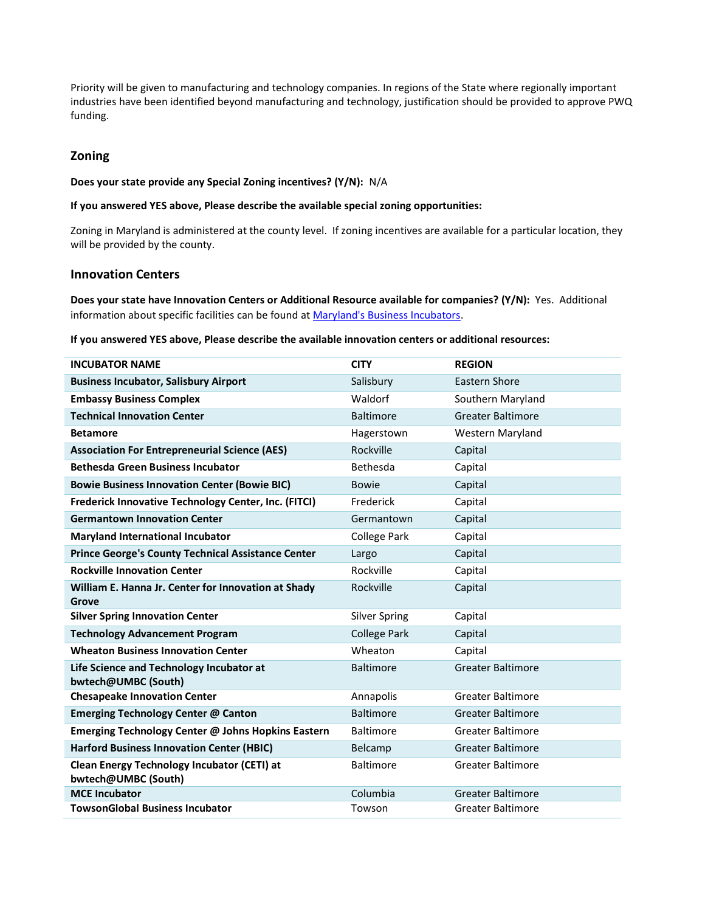Priority will be given to manufacturing and technology companies. In regions of the State where regionally important industries have been identified beyond manufacturing and technology, justification should be provided to approve PWQ funding.

### **Zoning**

#### **Does your state provide any Special Zoning incentives? (Y/N):** N/A

#### **If you answered YES above, Please describe the available special zoning opportunities:**

Zoning in Maryland is administered at the county level. If zoning incentives are available for a particular location, they will be provided by the county.

### **Innovation Centers**

**Does your state have Innovation Centers or Additional Resource available for companies? (Y/N):** Yes.Additional information about specific facilities can be found at Maryland's Business Incubators.

**If you answered YES above, Please describe the available innovation centers or additional resources:** 

| <b>INCUBATOR NAME</b>                                                     | <b>CITY</b>          | <b>REGION</b>            |
|---------------------------------------------------------------------------|----------------------|--------------------------|
| <b>Business Incubator, Salisbury Airport</b>                              | Salisbury            | Eastern Shore            |
| <b>Embassy Business Complex</b>                                           | Waldorf              | Southern Maryland        |
| <b>Technical Innovation Center</b>                                        | <b>Baltimore</b>     | <b>Greater Baltimore</b> |
| <b>Betamore</b>                                                           | Hagerstown           | Western Maryland         |
| <b>Association For Entrepreneurial Science (AES)</b>                      | Rockville            | Capital                  |
| <b>Bethesda Green Business Incubator</b>                                  | Bethesda             | Capital                  |
| <b>Bowie Business Innovation Center (Bowie BIC)</b>                       | <b>Bowie</b>         | Capital                  |
| Frederick Innovative Technology Center, Inc. (FITCI)                      | Frederick            | Capital                  |
| <b>Germantown Innovation Center</b>                                       | Germantown           | Capital                  |
| <b>Maryland International Incubator</b>                                   | <b>College Park</b>  | Capital                  |
| <b>Prince George's County Technical Assistance Center</b>                 | Largo                | Capital                  |
| <b>Rockville Innovation Center</b>                                        | Rockville            | Capital                  |
| William E. Hanna Jr. Center for Innovation at Shady                       | Rockville            | Capital                  |
| Grove<br><b>Silver Spring Innovation Center</b>                           | <b>Silver Spring</b> | Capital                  |
| <b>Technology Advancement Program</b>                                     | <b>College Park</b>  | Capital                  |
| <b>Wheaton Business Innovation Center</b>                                 | Wheaton              | Capital                  |
| Life Science and Technology Incubator at                                  | <b>Baltimore</b>     | <b>Greater Baltimore</b> |
| bwtech@UMBC (South)                                                       |                      |                          |
| <b>Chesapeake Innovation Center</b>                                       | Annapolis            | <b>Greater Baltimore</b> |
| <b>Emerging Technology Center @ Canton</b>                                | <b>Baltimore</b>     | <b>Greater Baltimore</b> |
| Emerging Technology Center @ Johns Hopkins Eastern                        | <b>Baltimore</b>     | <b>Greater Baltimore</b> |
| <b>Harford Business Innovation Center (HBIC)</b>                          | Belcamp              | <b>Greater Baltimore</b> |
| <b>Clean Energy Technology Incubator (CETI) at</b><br>bwtech@UMBC (South) | <b>Baltimore</b>     | <b>Greater Baltimore</b> |
| <b>MCE Incubator</b>                                                      | Columbia             | <b>Greater Baltimore</b> |
| <b>TowsonGlobal Business Incubator</b>                                    | Towson               | Greater Baltimore        |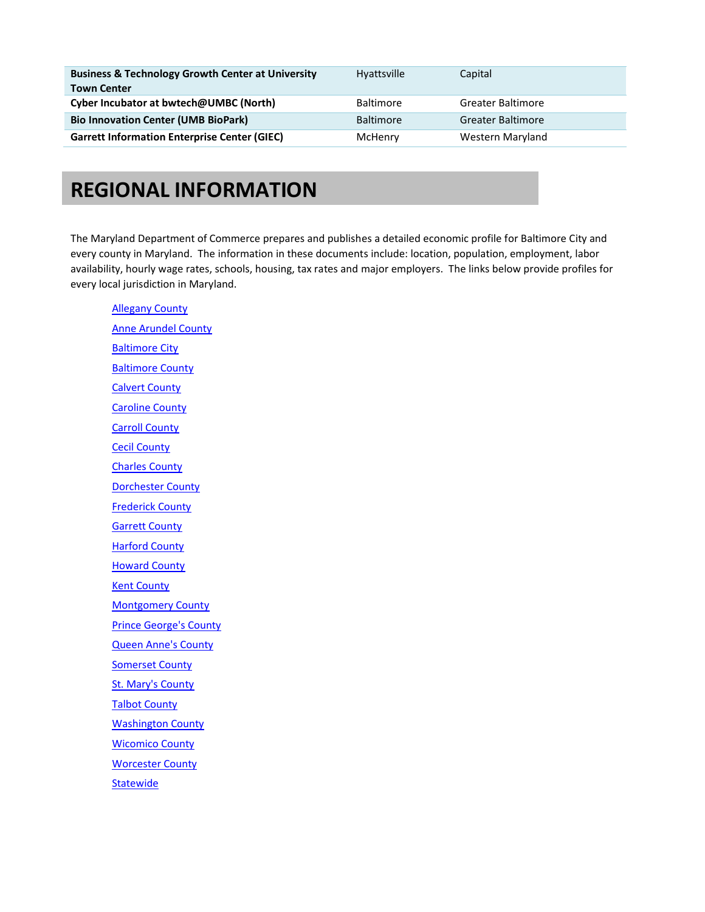| <b>Business &amp; Technology Growth Center at University</b><br><b>Town Center</b> | Hyattsville      | Capital                  |
|------------------------------------------------------------------------------------|------------------|--------------------------|
| Cyber Incubator at bwtech@UMBC (North)                                             | <b>Baltimore</b> | Greater Baltimore        |
| <b>Bio Innovation Center (UMB BioPark)</b>                                         | <b>Baltimore</b> | <b>Greater Baltimore</b> |
| <b>Garrett Information Enterprise Center (GIEC)</b>                                | McHenry          | Western Maryland         |

### **REGIONAL INFORMATION**

The Maryland Department of Commerce prepares and publishes a detailed economic profile for Baltimore City and every county in Maryland. The information in these documents include: location, population, employment, labor availability, hourly wage rates, schools, housing, tax rates and major employers. The links below provide profiles for every local jurisdiction in Maryland.

[Allegany County](http://commerce.maryland.gov/Documents/ResearchDocument/AlleganyBef.pdf) [Anne Arundel County](http://commerce.maryland.gov/Documents/ResearchDocument/AnneArundelBef.pdf) **[Baltimore City](http://commerce.maryland.gov/Documents/ResearchDocument/BaltCityBef.pdf)** [Baltimore County](http://commerce.maryland.gov/Documents/ResearchDocument/BaltCountyBef.pdf) [Calvert County](http://commerce.maryland.gov/Documents/ResearchDocument/CalvertBef.pdf) [Caroline County](http://commerce.maryland.gov/Documents/ResearchDocument/CarolineBef.pdf) [Carroll County](http://commerce.maryland.gov/Documents/ResearchDocument/CarrollBef.pdf) [Cecil County](http://commerce.maryland.gov/Documents/ResearchDocument/CecilBef.pdf) [Charles County](http://commerce.maryland.gov/Documents/ResearchDocument/CharlesBef.pdf) [Dorchester County](http://commerce.maryland.gov/Documents/ResearchDocument/DorchesterBef.pdf) [Frederick County](http://commerce.maryland.gov/Documents/ResearchDocument/FrederickBef.pdf) [Garrett County](http://commerce.maryland.gov/Documents/ResearchDocument/GarrettBef.pdf) [Harford County](http://commerce.maryland.gov/Documents/ResearchDocument/HarfordBef.pdf) **[Howard County](http://commerce.maryland.gov/Documents/ResearchDocument/HowardBef.pdf)** [Kent County](http://commerce.maryland.gov/Documents/ResearchDocument/KentBef.pdf) [Montgomery County](http://commerce.maryland.gov/Documents/ResearchDocument/MontgomeryBef.pdf) [Prince George's County](http://commerce.maryland.gov/Documents/ResearchDocument/PrGeorgesBef.pdf) [Queen Anne's County](http://commerce.maryland.gov/Documents/ResearchDocument/QueenAnnesBef.pdf) [Somerset County](http://commerce.maryland.gov/Documents/ResearchDocument/SomersetBef.pdf) [St. Mary's County](http://commerce.maryland.gov/Documents/ResearchDocument/StMarysBef.pdf) [Talbot County](http://commerce.maryland.gov/Documents/ResearchDocument/TalbotBef.pdf) [Washington County](http://commerce.maryland.gov/Documents/ResearchDocument/WashingtonBef.pdf) [Wicomico County](http://commerce.maryland.gov/Documents/ResearchDocument/WicomicoBef.pdf) **[Worcester County](http://commerce.maryland.gov/Documents/ResearchDocument/WorcesterBef.pdf) [Statewide](http://commerce.maryland.gov/Documents/ResearchDocument/BriefEconomicFactsMaryland.pdf)**